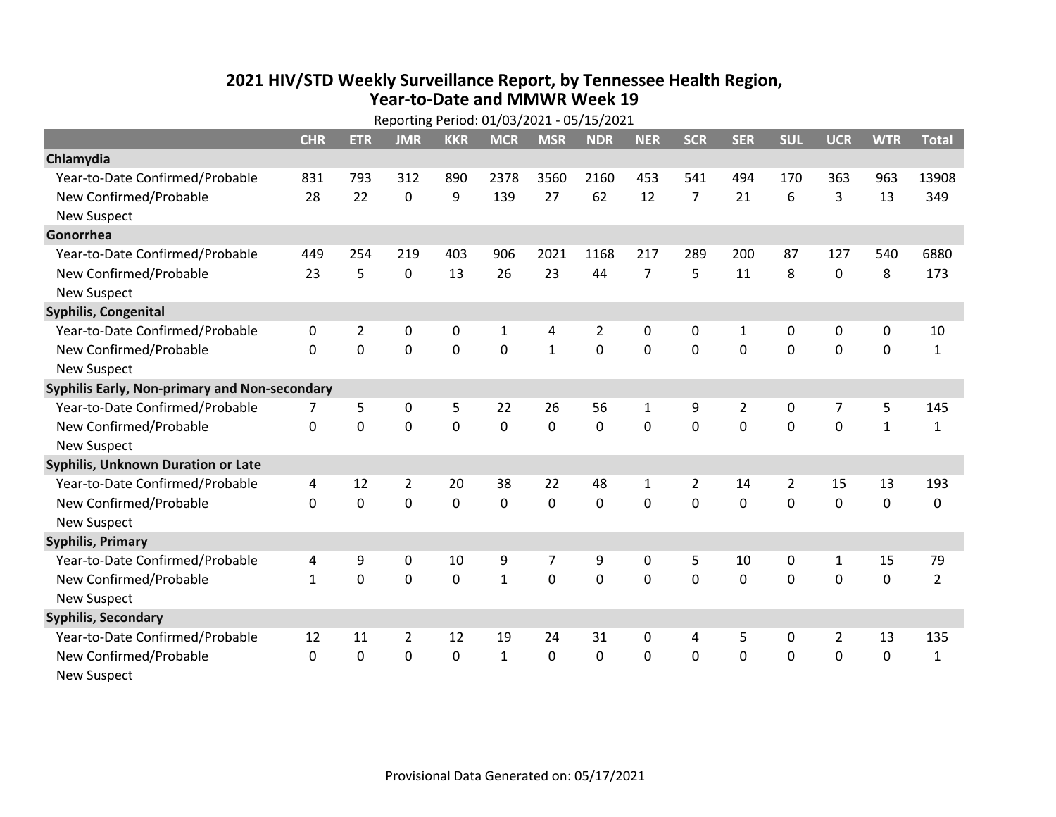## **2021 HIV /STD Weekly Surveillance Report, by Tennessee Health Region, Year‐to‐Date and MMWR Week 19**

|                                               | Reporting Period: 01/03/2021 - 05/15/2021 |                |                |                |              |              |             |                |                |             |              |             |              |                |
|-----------------------------------------------|-------------------------------------------|----------------|----------------|----------------|--------------|--------------|-------------|----------------|----------------|-------------|--------------|-------------|--------------|----------------|
|                                               | <b>CHR</b>                                | <b>ETR</b>     | <b>JMR</b>     | <b>KKR</b>     | <b>MCR</b>   | <b>MSR</b>   | <b>NDR</b>  | <b>NER</b>     | <b>SCR</b>     | <b>SER</b>  | <b>SUL</b>   | <b>UCR</b>  | <b>WTR</b>   | <b>Total</b>   |
| Chlamydia                                     |                                           |                |                |                |              |              |             |                |                |             |              |             |              |                |
| Year-to-Date Confirmed/Probable               | 831                                       | 793            | 312            | 890            | 2378         | 3560         | 2160        | 453            | 541            | 494         | 170          | 363         | 963          | 13908          |
| New Confirmed/Probable                        | 28                                        | 22             | 0              | 9              | 139          | 27           | 62          | 12             | $\overline{7}$ | 21          | 6            | 3           | 13           | 349            |
| <b>New Suspect</b>                            |                                           |                |                |                |              |              |             |                |                |             |              |             |              |                |
| Gonorrhea                                     |                                           |                |                |                |              |              |             |                |                |             |              |             |              |                |
| Year-to-Date Confirmed/Probable               | 449                                       | 254            | 219            | 403            | 906          | 2021         | 1168        | 217            | 289            | 200         | 87           | 127         | 540          | 6880           |
| New Confirmed/Probable                        | 23                                        | 5              | $\mathbf 0$    | 13             | 26           | 23           | 44          | $\overline{7}$ | 5              | 11          | 8            | 0           | 8            | 173            |
| <b>New Suspect</b>                            |                                           |                |                |                |              |              |             |                |                |             |              |             |              |                |
| <b>Syphilis, Congenital</b>                   |                                           |                |                |                |              |              |             |                |                |             |              |             |              |                |
| Year-to-Date Confirmed/Probable               | 0                                         | $\overline{2}$ | 0              | 0              | 1            | 4            | 2           | $\mathbf{0}$   | 0              | 1           | $\mathbf{0}$ | 0           | 0            | 10             |
| New Confirmed/Probable                        | $\mathbf{0}$                              | 0              | 0              | 0              | $\mathbf 0$  | $\mathbf{1}$ | 0           | $\Omega$       | 0              | 0           | 0            | 0           | $\mathbf 0$  | $\mathbf{1}$   |
| <b>New Suspect</b>                            |                                           |                |                |                |              |              |             |                |                |             |              |             |              |                |
| Syphilis Early, Non-primary and Non-secondary |                                           |                |                |                |              |              |             |                |                |             |              |             |              |                |
| Year-to-Date Confirmed/Probable               | 7                                         | 5              | 0              | 5              | 22           | 26           | 56          | $\mathbf{1}$   | 9              | 2           | 0            | 7           | 5            | 145            |
| New Confirmed/Probable                        | $\mathbf{0}$                              | $\mathbf 0$    | $\mathbf 0$    | $\mathbf 0$    | $\mathbf 0$  | $\mathbf 0$  | 0           | $\Omega$       | $\Omega$       | $\mathbf 0$ | 0            | $\mathbf 0$ | $\mathbf{1}$ | $\mathbf{1}$   |
| <b>New Suspect</b>                            |                                           |                |                |                |              |              |             |                |                |             |              |             |              |                |
| Syphilis, Unknown Duration or Late            |                                           |                |                |                |              |              |             |                |                |             |              |             |              |                |
| Year-to-Date Confirmed/Probable               | 4                                         | 12             | $\overline{2}$ | 20             | 38           | 22           | 48          | $\mathbf{1}$   | $\overline{2}$ | 14          | 2            | 15          | 13           | 193            |
| New Confirmed/Probable                        | $\Omega$                                  | 0              | $\overline{0}$ | $\overline{0}$ | $\mathbf 0$  | $\mathbf 0$  | $\mathbf 0$ | $\Omega$       | 0              | $\Omega$    | $\mathbf 0$  | $\mathbf 0$ | $\mathbf 0$  | 0              |
| <b>New Suspect</b>                            |                                           |                |                |                |              |              |             |                |                |             |              |             |              |                |
| <b>Syphilis, Primary</b>                      |                                           |                |                |                |              |              |             |                |                |             |              |             |              |                |
| Year-to-Date Confirmed/Probable               | 4                                         | 9              | 0              | 10             | 9            | 7            | 9           | 0              | 5              | 10          | 0            | 1           | 15           | 79             |
| New Confirmed/Probable                        | $\mathbf{1}$                              | 0              | $\mathbf 0$    | 0              | $\mathbf{1}$ | 0            | 0           | $\mathbf{0}$   | $\Omega$       | 0           | 0            | 0           | $\mathbf 0$  | $\overline{2}$ |
| <b>New Suspect</b>                            |                                           |                |                |                |              |              |             |                |                |             |              |             |              |                |
| <b>Syphilis, Secondary</b>                    |                                           |                |                |                |              |              |             |                |                |             |              |             |              |                |
| Year-to-Date Confirmed/Probable               | 12                                        | 11             | $\overline{2}$ | 12             | 19           | 24           | 31          | 0              | 4              | 5           | 0            | 2           | 13           | 135            |
| New Confirmed/Probable                        | $\mathbf 0$                               | 0              | 0              | 0              | $\mathbf{1}$ | 0            | 0           | $\mathbf{0}$   | $\mathbf{0}$   | 0           | 0            | 0           | $\mathbf 0$  | $\mathbf{1}$   |
| <b>New Suspect</b>                            |                                           |                |                |                |              |              |             |                |                |             |              |             |              |                |